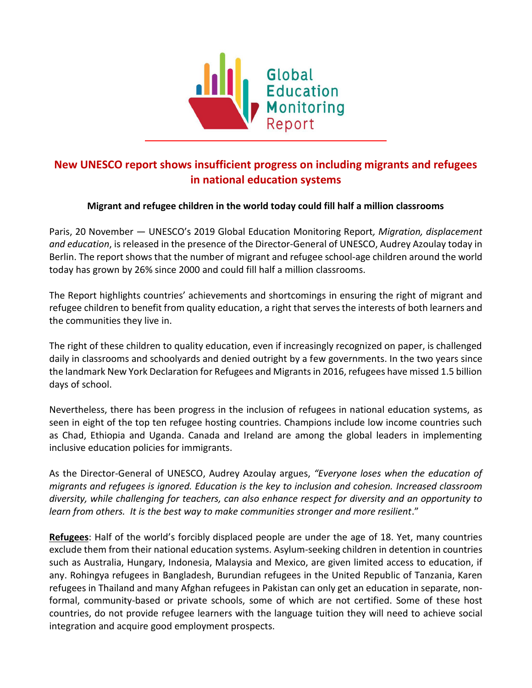

## **New UNESCO report shows insufficient progress on including migrants and refugees in national education systems**

## **Migrant and refugee children in the world today could fill half a million classrooms**

Paris, 20 November — UNESCO's 2019 Global Education Monitoring Report*, Migration, displacement and education*, is released in the presence of the Director-General of UNESCO, Audrey Azoulay today in Berlin. The report shows that the number of migrant and refugee school-age children around the world today has grown by 26% since 2000 and could fill half a million classrooms.

The Report highlights countries' achievements and shortcomings in ensuring the right of migrant and refugee children to benefit from quality education, a right that serves the interests of both learners and the communities they live in.

The right of these children to quality education, even if increasingly recognized on paper, is challenged daily in classrooms and schoolyards and denied outright by a few governments. In the two years since the landmark New York Declaration for Refugees and Migrants in 2016, refugees have missed 1.5 billion days of school.

Nevertheless, there has been progress in the inclusion of refugees in national education systems, as seen in eight of the top ten refugee hosting countries. Champions include low income countries such as Chad, Ethiopia and Uganda. Canada and Ireland are among the global leaders in implementing inclusive education policies for immigrants.

As the Director-General of UNESCO, Audrey Azoulay argues, *"Everyone loses when the education of migrants and refugees is ignored. Education is the key to inclusion and cohesion. Increased classroom diversity, while challenging for teachers, can also enhance respect for diversity and an opportunity to learn from others. It is the best way to make communities stronger and more resilient*."

**Refugees**: Half of the world's forcibly displaced people are under the age of 18. Yet, many countries exclude them from their national education systems. Asylum-seeking children in detention in countries such as Australia, Hungary, Indonesia, Malaysia and Mexico, are given limited access to education, if any. Rohingya refugees in Bangladesh, Burundian refugees in the United Republic of Tanzania, Karen refugees in Thailand and many Afghan refugees in Pakistan can only get an education in separate, nonformal, community-based or private schools, some of which are not certified. Some of these host countries, do not provide refugee learners with the language tuition they will need to achieve social integration and acquire good employment prospects.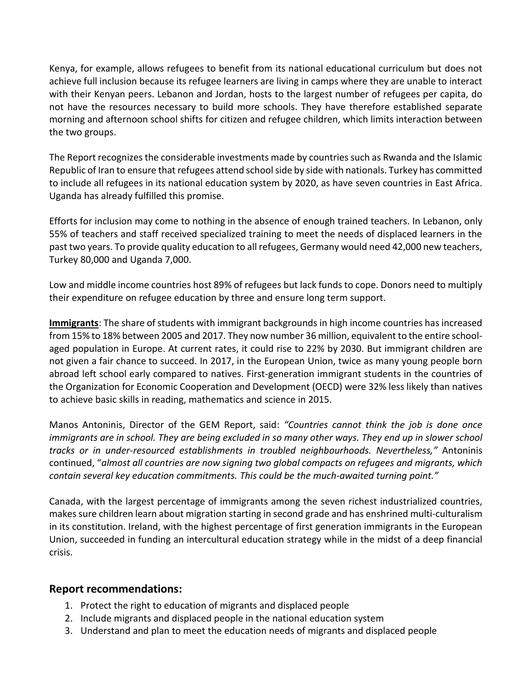Kenya, for example, allows refugees to benefit from its national educational curriculum but does not achieve full inclusion because its refugee learners are living in camps where they are unable to interact with their Kenyan peers. Lebanon and Jordan, hosts to the largest number of refugees per capita, do not have the resources necessary to build more schools. They have therefore established separate morning and afternoon school shifts for citizen and refugee children, which limits interaction between the two groups.

The Report recognizes the considerable investments made by countries such as Rwanda and the Islamic Republic of Iran to ensure that refugees attend school side by side with nationals. Turkey has committed to include all refugees in its national education system by 2020, as have seven countries in East Africa. Uganda has already fulfilled this promise.

Efforts for inclusion may come to nothing in the absence of enough trained teachers. In Lebanon, only 55% of teachers and staff received specialized training to meet the needs of displaced learners in the past two years. To provide quality education to all refugees, Germany would need 42,000 new teachers, Turkey 80,000 and Uganda 7,000.

Low and middle income countries host 89% of refugees but lack funds to cope. Donors need to multiply their expenditure on refugee education by three and ensure long term support.

**Immigrants**: The share of students with immigrant backgrounds in high income countries has increased from 15% to 18% between 2005 and 2017. They now number 36 million, equivalent to the entire schoolaged population in Europe. At current rates, it could rise to 22% by 2030. But immigrant children are not given a fair chance to succeed. In 2017, in the European Union, twice as many young people born abroad left school early compared to natives. First-generation immigrant students in the countries of the Organization for Economic Cooperation and Development (OECD) were 32% less likely than natives to achieve basic skills in reading, mathematics and science in 2015.

Manos Antoninis, Director of the GEM Report, said: *"Countries cannot think the job is done once immigrants are in school. They are being excluded in so many other ways. They end up in slower school tracks or in under-resourced establishments in troubled neighbourhoods. Nevertheless,"* Antoninis continued, "*almost all countries are now signing two global compacts on refugees and migrants, which contain several key education commitments. This could be the much-awaited turning point."*

Canada, with the largest percentage of immigrants among the seven richest industrialized countries, makes sure children learn about migration starting in second grade and has enshrined multi-culturalism in its constitution. Ireland, with the highest percentage of first generation immigrants in the European Union, succeeded in funding an intercultural education strategy while in the midst of a deep financial crisis.

## **Report recommendations:**

- 1. Protect the right to education of migrants and displaced people
- 2. Include migrants and displaced people in the national education system
- 3. Understand and plan to meet the education needs of migrants and displaced people